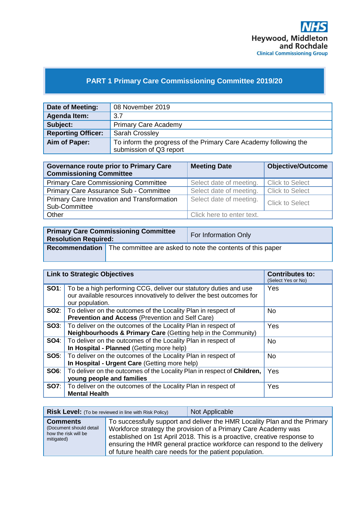

# **PART 1 Primary Care Commissioning Committee 2019/20**

| Date of Meeting:          | 08 November 2019                                                                            |
|---------------------------|---------------------------------------------------------------------------------------------|
| Agenda Item:              | 3.7                                                                                         |
| Subject:                  | <b>Primary Care Academy</b>                                                                 |
| <b>Reporting Officer:</b> | <b>Sarah Crossley</b>                                                                       |
| Aim of Paper:             | To inform the progress of the Primary Care Academy following the<br>submission of Q3 report |

| <b>Governance route prior to Primary Care</b><br><b>Commissioning Committee</b> | <b>Meeting Date</b>       | <b>Objective/Outcome</b> |
|---------------------------------------------------------------------------------|---------------------------|--------------------------|
| <b>Primary Care Commissioning Committee</b>                                     | Select date of meeting.   | <b>Click to Select</b>   |
| Primary Care Assurance Sub - Committee                                          | Select date of meeting.   | <b>Click to Select</b>   |
| Primary Care Innovation and Transformation<br>Sub-Committee                     | Select date of meeting.   | <b>Click to Select</b>   |
| Other                                                                           | Click here to enter text. |                          |

| <b>Primary Care Commissioning Committee</b><br><b>Resolution Required:</b> |  | For Information Only                                                             |
|----------------------------------------------------------------------------|--|----------------------------------------------------------------------------------|
|                                                                            |  | <b>Recommendation</b> The committee are asked to note the contents of this paper |

| <b>Link to Strategic Objectives</b> |                                                                                                                                                               | <b>Contributes to:</b><br>(Select Yes or No) |
|-------------------------------------|---------------------------------------------------------------------------------------------------------------------------------------------------------------|----------------------------------------------|
| <b>SO1:</b>                         | To be a high performing CCG, deliver our statutory duties and use<br>our available resources innovatively to deliver the best outcomes for<br>our population. | Yes                                          |
| SO2:                                | To deliver on the outcomes of the Locality Plan in respect of<br><b>Prevention and Access (Prevention and Self Care)</b>                                      | No.                                          |
| SO3:                                | To deliver on the outcomes of the Locality Plan in respect of<br>Neighbourhoods & Primary Care (Getting help in the Community)                                | Yes                                          |
| <b>SO4:</b>                         | To deliver on the outcomes of the Locality Plan in respect of<br>In Hospital - Planned (Getting more help)                                                    | No.                                          |
| SO5:                                | To deliver on the outcomes of the Locality Plan in respect of<br>In Hospital - Urgent Care (Getting more help)                                                | <b>No</b>                                    |
| SO6:                                | To deliver on the outcomes of the Locality Plan in respect of Children,<br>young people and families                                                          | Yes                                          |
| <b>SO7:</b>                         | To deliver on the outcomes of the Locality Plan in respect of<br><b>Mental Health</b>                                                                         | Yes                                          |

|                                                                                  | <b>Risk Level:</b> (To be reviewed in line with Risk Policy) | Not Applicable                                                                                                                                                                                                                                                                                     |
|----------------------------------------------------------------------------------|--------------------------------------------------------------|----------------------------------------------------------------------------------------------------------------------------------------------------------------------------------------------------------------------------------------------------------------------------------------------------|
| <b>Comments</b><br>(Document should detail<br>how the risk will be<br>mitigated) | of future health care needs for the patient population.      | To successfully support and deliver the HMR Locality Plan and the Primary<br>Workforce strategy the provision of a Primary Care Academy was<br>established on 1st April 2018. This is a proactive, creative response to<br>ensuring the HMR general practice workforce can respond to the delivery |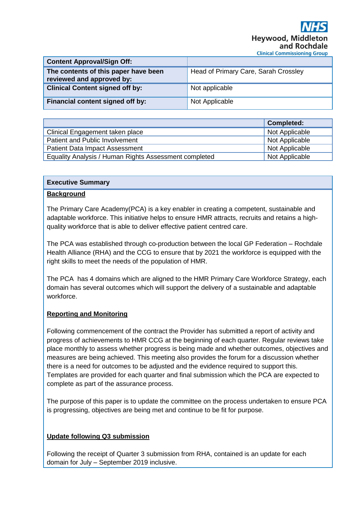| <b>Content Approval/Sign Off:</b>                                 |                                      |
|-------------------------------------------------------------------|--------------------------------------|
| The contents of this paper have been<br>reviewed and approved by: | Head of Primary Care, Sarah Crossley |
| <b>Clinical Content signed off by:</b>                            | Not applicable                       |
| Financial content signed off by:                                  | Not Applicable                       |

|                                                       | <b>Completed:</b> |
|-------------------------------------------------------|-------------------|
| Clinical Engagement taken place                       | Not Applicable    |
| Patient and Public Involvement                        | Not Applicable    |
| <b>Patient Data Impact Assessment</b>                 | Not Applicable    |
| Equality Analysis / Human Rights Assessment completed | Not Applicable    |

#### **Executive Summary**

#### **Background**

The Primary Care Academy(PCA) is a key enabler in creating a competent, sustainable and adaptable workforce. This initiative helps to ensure HMR attracts, recruits and retains a highquality workforce that is able to deliver effective patient centred care.

The PCA was established through co-production between the local GP Federation – Rochdale Health Alliance (RHA) and the CCG to ensure that by 2021 the workforce is equipped with the right skills to meet the needs of the population of HMR.

The PCA has 4 domains which are aligned to the HMR Primary Care Workforce Strategy, each domain has several outcomes which will support the delivery of a sustainable and adaptable workforce.

#### **Reporting and Monitoring**

Following commencement of the contract the Provider has submitted a report of activity and progress of achievements to HMR CCG at the beginning of each quarter. Regular reviews take place monthly to assess whether progress is being made and whether outcomes, objectives and measures are being achieved. This meeting also provides the forum for a discussion whether there is a need for outcomes to be adjusted and the evidence required to support this. Templates are provided for each quarter and final submission which the PCA are expected to complete as part of the assurance process.

The purpose of this paper is to update the committee on the process undertaken to ensure PCA is progressing, objectives are being met and continue to be fit for purpose.

#### **Update following Q3 submission**

Following the receipt of Quarter 3 submission from RHA, contained is an update for each domain for July – September 2019 inclusive.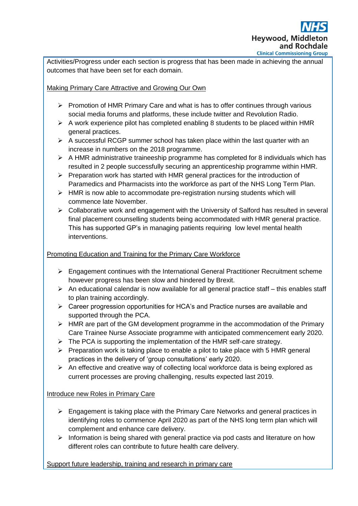

Activities/Progress under each section is progress that has been made in achieving the annual outcomes that have been set for each domain.

#### Making Primary Care Attractive and Growing Our Own

- $\triangleright$  Promotion of HMR Primary Care and what is has to offer continues through various social media forums and platforms, these include twitter and Revolution Radio.
- $\triangleright$  A work experience pilot has completed enabling 8 students to be placed within HMR general practices.
- $\triangleright$  A successful RCGP summer school has taken place within the last quarter with an increase in numbers on the 2018 programme.
- $\triangleright$  A HMR administrative traineeship programme has completed for 8 individuals which has resulted in 2 people successfully securing an apprenticeship programme within HMR.
- ➢ Preparation work has started with HMR general practices for the introduction of Paramedics and Pharmacists into the workforce as part of the NHS Long Term Plan.
- $\triangleright$  HMR is now able to accommodate pre-registration nursing students which will commence late November.
- ➢ Collaborative work and engagement with the University of Salford has resulted in several final placement counselling students being accommodated with HMR general practice. This has supported GP's in managing patients requiring low level mental health interventions.

## Promoting Education and Training for the Primary Care Workforce

- ➢ Engagement continues with the International General Practitioner Recruitment scheme however progress has been slow and hindered by Brexit.
- $\triangleright$  An educational calendar is now available for all general practice staff this enables staff to plan training accordingly.
- ➢ Career progression opportunities for HCA's and Practice nurses are available and supported through the PCA.
- ➢ HMR are part of the GM development programme in the accommodation of the Primary Care Trainee Nurse Associate programme with anticipated commencement early 2020.
- $\triangleright$  The PCA is supporting the implementation of the HMR self-care strategy.
- $\triangleright$  Preparation work is taking place to enable a pilot to take place with 5 HMR general practices in the delivery of 'group consultations' early 2020.
- $\triangleright$  An effective and creative way of collecting local workforce data is being explored as current processes are proving challenging, results expected last 2019.

## Introduce new Roles in Primary Care

- $\triangleright$  Engagement is taking place with the Primary Care Networks and general practices in identifying roles to commence April 2020 as part of the NHS long term plan which will complement and enhance care delivery.
- $\triangleright$  Information is being shared with general practice via pod casts and literature on how different roles can contribute to future health care delivery.

## Support future leadership, training and research in primary care